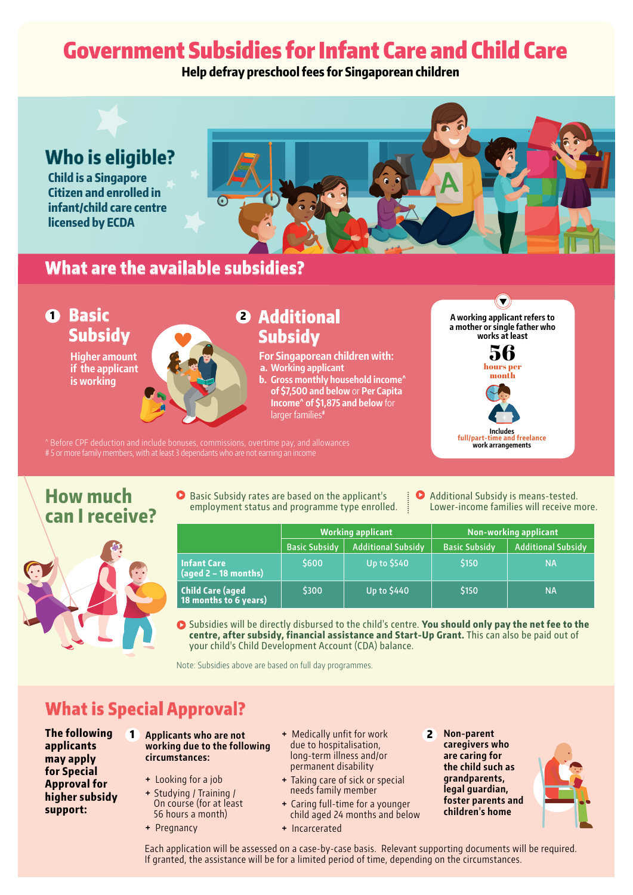# Government Subsidies for Infant Care and Child Care

**Help defray preschool fees for Singaporean children**



# **What are the available subsidies?**



^ Before CPF deduction and include bonuses, commissions, overtime pay, and allowances # 5 or more family members, with at least 3 dependants who are not earning an income

### **How much can I receive?**



- **O** Basic Subsidy rates are based on the applicant's employment status and programme type enrolled.
- Additional Subsidy is means-tested. Lower-income families will receive more.

**work arrangements**

|                                                          | <b>Working applicant</b> |                           | Non-working applicant |                           |
|----------------------------------------------------------|--------------------------|---------------------------|-----------------------|---------------------------|
|                                                          | <b>Basic Subsidy</b>     | <b>Additional Subsidy</b> | <b>Basic Subsidy</b>  | <b>Additional Subsidy</b> |
| <b>Infant Care</b><br>$\frac{1}{2}$ (aged 2 – 18 months) | \$600                    | <b>Up to \$540</b>        | \$150                 | <b>NA</b>                 |
| <b>Child Care (aged</b><br>18 months to 6 years)         | \$300                    | Up to \$440               | \$150                 | <b>NA</b>                 |

Subsidies will be directly disbursed to the child's centre. **You should only pay the net fee to the centre, after subsidy, financial assistance and Start-Up Grant.** This can also be paid out of your child's Child Development Account (CDA) balance.

Note: Subsidies above are based on full day programmes.

## **What is Special Approval?**

- **The following applicants may apply for Special Approval for higher subsidy support:**
- **Applicants who are not working due to the following circumstances:**
	- **+** Looking for a job
	- **+** Studying / Training / On course (for at least 56 hours a month)
	- **+** Pregnancy
- **+** Medically unfit for work due to hospitalisation, long-term illness and/or permanent disability
- **+** Taking care of sick or special needs family member
- **+** Caring full-time for a younger child aged 24 months and below
- **+** Incarcerated
- **Non-parent caregivers who are caring for the child such as grandparents, legal guardian, foster parents and children's home**  $\mathbf{z}$



Each application will be assessed on a case-by-case basis. Relevant supporting documents will be required. If granted, the assistance will be for a limited period of time, depending on the circumstances.